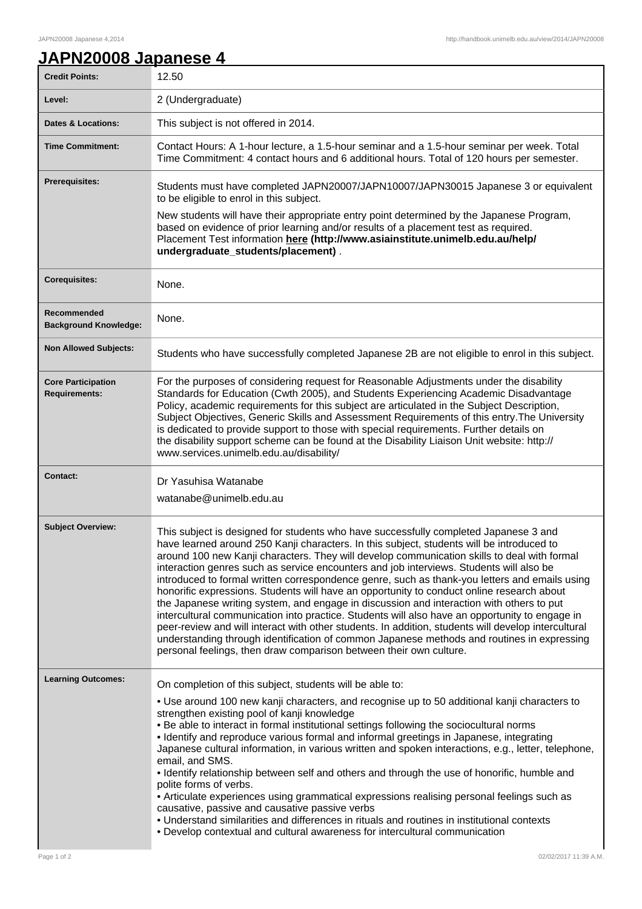## **JAPN20008 Japanese 4**

| <b>Credit Points:</b>                       | 12.50                                                                                                                                                                                                                                                                                                                                                                                                                                                                                                                                                                                                                                                                                                                                                                                                                                                                                                                                                                                                                                              |
|---------------------------------------------|----------------------------------------------------------------------------------------------------------------------------------------------------------------------------------------------------------------------------------------------------------------------------------------------------------------------------------------------------------------------------------------------------------------------------------------------------------------------------------------------------------------------------------------------------------------------------------------------------------------------------------------------------------------------------------------------------------------------------------------------------------------------------------------------------------------------------------------------------------------------------------------------------------------------------------------------------------------------------------------------------------------------------------------------------|
| Level:                                      | 2 (Undergraduate)                                                                                                                                                                                                                                                                                                                                                                                                                                                                                                                                                                                                                                                                                                                                                                                                                                                                                                                                                                                                                                  |
| <b>Dates &amp; Locations:</b>               | This subject is not offered in 2014.                                                                                                                                                                                                                                                                                                                                                                                                                                                                                                                                                                                                                                                                                                                                                                                                                                                                                                                                                                                                               |
| <b>Time Commitment:</b>                     | Contact Hours: A 1-hour lecture, a 1.5-hour seminar and a 1.5-hour seminar per week. Total<br>Time Commitment: 4 contact hours and 6 additional hours. Total of 120 hours per semester.                                                                                                                                                                                                                                                                                                                                                                                                                                                                                                                                                                                                                                                                                                                                                                                                                                                            |
| <b>Prerequisites:</b>                       | Students must have completed JAPN20007/JAPN10007/JAPN30015 Japanese 3 or equivalent<br>to be eligible to enrol in this subject.                                                                                                                                                                                                                                                                                                                                                                                                                                                                                                                                                                                                                                                                                                                                                                                                                                                                                                                    |
|                                             | New students will have their appropriate entry point determined by the Japanese Program,<br>based on evidence of prior learning and/or results of a placement test as required.<br>Placement Test information here (http://www.asiainstitute.unimelb.edu.au/help/<br>undergraduate_students/placement).                                                                                                                                                                                                                                                                                                                                                                                                                                                                                                                                                                                                                                                                                                                                            |
| <b>Corequisites:</b>                        | None.                                                                                                                                                                                                                                                                                                                                                                                                                                                                                                                                                                                                                                                                                                                                                                                                                                                                                                                                                                                                                                              |
| Recommended<br><b>Background Knowledge:</b> | None.                                                                                                                                                                                                                                                                                                                                                                                                                                                                                                                                                                                                                                                                                                                                                                                                                                                                                                                                                                                                                                              |
| <b>Non Allowed Subjects:</b>                | Students who have successfully completed Japanese 2B are not eligible to enrol in this subject.                                                                                                                                                                                                                                                                                                                                                                                                                                                                                                                                                                                                                                                                                                                                                                                                                                                                                                                                                    |
| <b>Core Participation</b><br>Requirements:  | For the purposes of considering request for Reasonable Adjustments under the disability<br>Standards for Education (Cwth 2005), and Students Experiencing Academic Disadvantage<br>Policy, academic requirements for this subject are articulated in the Subject Description,<br>Subject Objectives, Generic Skills and Assessment Requirements of this entry. The University<br>is dedicated to provide support to those with special requirements. Further details on<br>the disability support scheme can be found at the Disability Liaison Unit website: http://<br>www.services.unimelb.edu.au/disability/                                                                                                                                                                                                                                                                                                                                                                                                                                   |
| <b>Contact:</b>                             | Dr Yasuhisa Watanabe<br>watanabe@unimelb.edu.au                                                                                                                                                                                                                                                                                                                                                                                                                                                                                                                                                                                                                                                                                                                                                                                                                                                                                                                                                                                                    |
| <b>Subject Overview:</b>                    | This subject is designed for students who have successfully completed Japanese 3 and<br>have learned around 250 Kanji characters. In this subject, students will be introduced to<br>around 100 new Kanji characters. They will develop communication skills to deal with formal<br>interaction genres such as service encounters and job interviews. Students will also be<br>introduced to formal written correspondence genre, such as thank-you letters and emails using<br>honorific expressions. Students will have an opportunity to conduct online research about<br>the Japanese writing system, and engage in discussion and interaction with others to put<br>intercultural communication into practice. Students will also have an opportunity to engage in<br>peer-review and will interact with other students. In addition, students will develop intercultural<br>understanding through identification of common Japanese methods and routines in expressing<br>personal feelings, then draw comparison between their own culture. |
| <b>Learning Outcomes:</b>                   | On completion of this subject, students will be able to:<br>• Use around 100 new kanji characters, and recognise up to 50 additional kanji characters to<br>strengthen existing pool of kanji knowledge<br>. Be able to interact in formal institutional settings following the sociocultural norms<br>· Identify and reproduce various formal and informal greetings in Japanese, integrating<br>Japanese cultural information, in various written and spoken interactions, e.g., letter, telephone,<br>email, and SMS.<br>. Identify relationship between self and others and through the use of honorific, humble and<br>polite forms of verbs.<br>• Articulate experiences using grammatical expressions realising personal feelings such as<br>causative, passive and causative passive verbs<br>• Understand similarities and differences in rituals and routines in institutional contexts<br>• Develop contextual and cultural awareness for intercultural communication                                                                   |